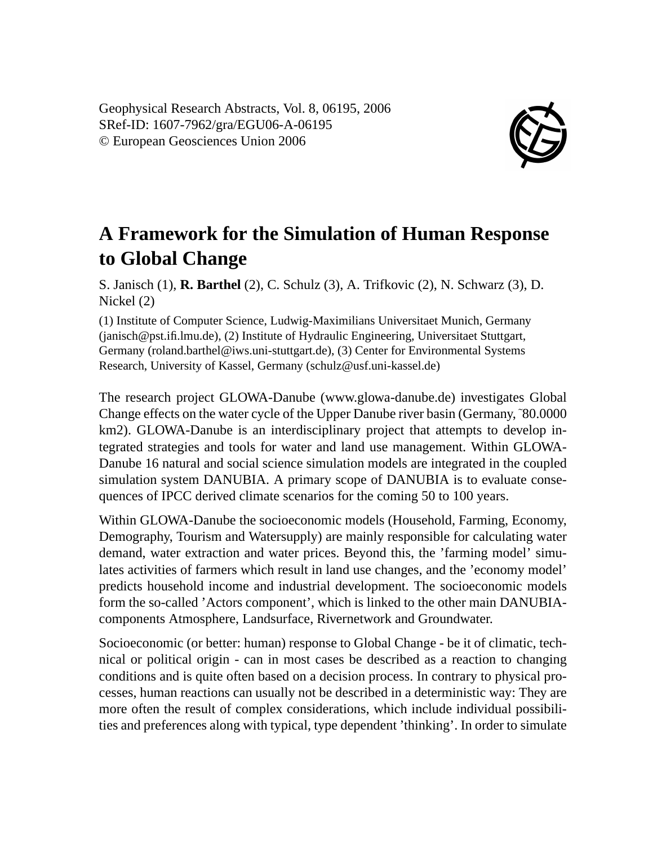

## **A Framework for the Simulation of Human Response to Global Change**

S. Janisch (1), **R. Barthel** (2), C. Schulz (3), A. Trifkovic (2), N. Schwarz (3), D. Nickel (2)

(1) Institute of Computer Science, Ludwig-Maximilians Universitaet Munich, Germany (janisch@pst.ifi.lmu.de), (2) Institute of Hydraulic Engineering, Universitaet Stuttgart, Germany (roland.barthel@iws.uni-stuttgart.de), (3) Center for Environmental Systems Research, University of Kassel, Germany (schulz@usf.uni-kassel.de)

The research project GLOWA-Danube (www.glowa-danube.de) investigates Global Change effects on the water cycle of the Upper Danube river basin (Germany,˜80.0000 km2). GLOWA-Danube is an interdisciplinary project that attempts to develop integrated strategies and tools for water and land use management. Within GLOWA-Danube 16 natural and social science simulation models are integrated in the coupled simulation system DANUBIA. A primary scope of DANUBIA is to evaluate consequences of IPCC derived climate scenarios for the coming 50 to 100 years.

Within GLOWA-Danube the socioeconomic models (Household, Farming, Economy, Demography, Tourism and Watersupply) are mainly responsible for calculating water demand, water extraction and water prices. Beyond this, the 'farming model' simulates activities of farmers which result in land use changes, and the 'economy model' predicts household income and industrial development. The socioeconomic models form the so-called 'Actors component', which is linked to the other main DANUBIAcomponents Atmosphere, Landsurface, Rivernetwork and Groundwater.

Socioeconomic (or better: human) response to Global Change - be it of climatic, technical or political origin - can in most cases be described as a reaction to changing conditions and is quite often based on a decision process. In contrary to physical processes, human reactions can usually not be described in a deterministic way: They are more often the result of complex considerations, which include individual possibilities and preferences along with typical, type dependent 'thinking'. In order to simulate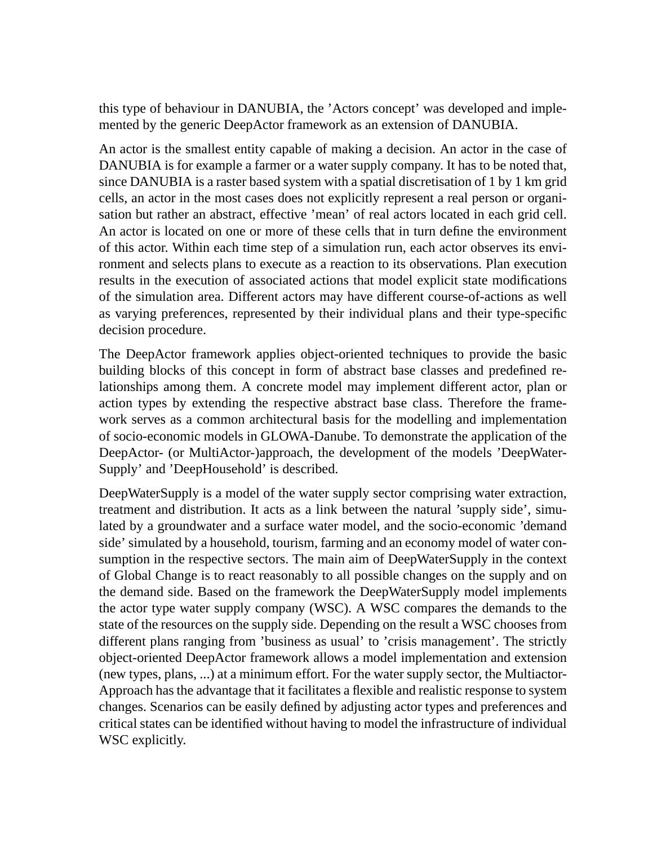this type of behaviour in DANUBIA, the 'Actors concept' was developed and implemented by the generic DeepActor framework as an extension of DANUBIA.

An actor is the smallest entity capable of making a decision. An actor in the case of DANUBIA is for example a farmer or a water supply company. It has to be noted that, since DANUBIA is a raster based system with a spatial discretisation of 1 by 1 km grid cells, an actor in the most cases does not explicitly represent a real person or organisation but rather an abstract, effective 'mean' of real actors located in each grid cell. An actor is located on one or more of these cells that in turn define the environment of this actor. Within each time step of a simulation run, each actor observes its environment and selects plans to execute as a reaction to its observations. Plan execution results in the execution of associated actions that model explicit state modifications of the simulation area. Different actors may have different course-of-actions as well as varying preferences, represented by their individual plans and their type-specific decision procedure.

The DeepActor framework applies object-oriented techniques to provide the basic building blocks of this concept in form of abstract base classes and predefined relationships among them. A concrete model may implement different actor, plan or action types by extending the respective abstract base class. Therefore the framework serves as a common architectural basis for the modelling and implementation of socio-economic models in GLOWA-Danube. To demonstrate the application of the DeepActor- (or MultiActor-)approach, the development of the models 'DeepWater-Supply' and 'DeepHousehold' is described.

DeepWaterSupply is a model of the water supply sector comprising water extraction, treatment and distribution. It acts as a link between the natural 'supply side', simulated by a groundwater and a surface water model, and the socio-economic 'demand side' simulated by a household, tourism, farming and an economy model of water consumption in the respective sectors. The main aim of DeepWaterSupply in the context of Global Change is to react reasonably to all possible changes on the supply and on the demand side. Based on the framework the DeepWaterSupply model implements the actor type water supply company (WSC). A WSC compares the demands to the state of the resources on the supply side. Depending on the result a WSC chooses from different plans ranging from 'business as usual' to 'crisis management'. The strictly object-oriented DeepActor framework allows a model implementation and extension (new types, plans, ...) at a minimum effort. For the water supply sector, the Multiactor-Approach has the advantage that it facilitates a flexible and realistic response to system changes. Scenarios can be easily defined by adjusting actor types and preferences and critical states can be identified without having to model the infrastructure of individual WSC explicitly.